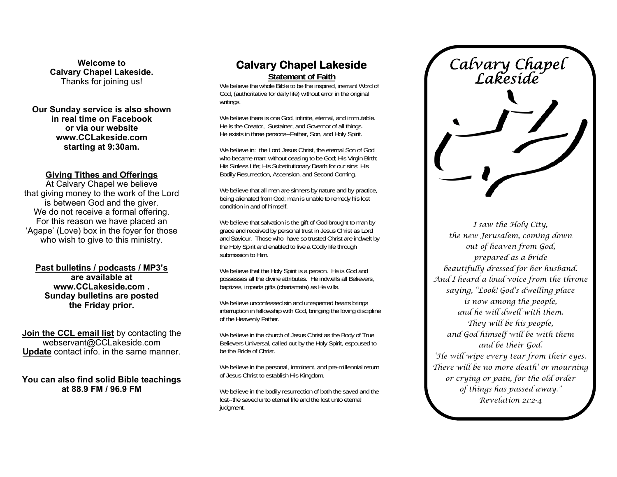**Welcome to Calvary Chapel Lakeside.**  Thanks for joining us!

**Our Sunday service is also shown in real time on Facebook or via our website www.CCLakeside.com starting at 9:30am.** 

#### **Giving Tithes and Offerings**

At Calvary Chapel we believe that giving money to the work of the Lord is between God and the giver. We do not receive a formal offering. For this reason we have placed an 'Agape' (Love) box in the foyer for those who wish to give to this ministry.

**Past bulletins / podcasts / MP3's are available at www.CCLakeside.com . Sunday bulletins are posted the Friday prior.** 

**Join the CCL email list** by contacting the webservant@CCLakeside.com **Update** contact info. in the same manner.

**You can also find solid Bible teachings at 88.9 FM / 96.9 FM** 

# **Calvary Chapel Lakeside**

**Statement of Faith**

We believe the whole Bible to be the inspired, inerrant Word of God, (authoritative for daily life) without error in the original writings.

We believe there is one God, infinite, eternal, and immutable. He is the Creator, Sustainer, and Governor of all things. He exists in three persons--Father, Son, and Holy Spirit.

We believe in: the Lord Jesus Christ, the eternal Son of God who became man; without ceasing to be God; His Virgin Birth; His Sinless Life; His Substitutionary Death for our sins; His Bodily Resurrection, Ascension, and Second Coming.

We believe that all men are sinners by nature and by practice, being alienated from God; man is unable to remedy his lost condition in and of himself.

We believe that salvation is the gift of God brought to man by grace and received by personal trust in Jesus Christ as Lord and Saviour. Those who have so trusted Christ are indwelt by the Holy Spirit and enabled to live a Godly life through submission to Him.

We believe that the Holy Spirit is a person. He is God and possesses all the divine attributes. He indwells all Believers, baptizes, imparts gifts (charismata) as He wills.

We believe unconfessed sin and unrepented hearts brings interruption in fellowship with God, bringing the loving discipline of the Heavenly Father.

We believe in the church of Jesus Christ as the Body of True Believers Universal, called out by the Holy Spirit, espoused to be the Bride of Christ.

We believe in the personal, imminent, and pre-millennial return of Jesus Christ to establish His Kingdom.

We believe in the bodily resurrection of both the saved and the lost--the saved unto eternal life and the lost unto eternal judgment.

*Calvary Chapel Lakeside* 

*I saw the Holy City, the new Jerusalem, coming down out of heaven from God, prepared as a bride beautifully dressed for her husband. And I heard a loud voice from the throne saying, "Look! God's dwelling place is now among the people, and he will dwell with them. They will be his people, and God himself will be with them and be their God. 'He will wipe every tear from their eyes. There will be no more death' or mourning or crying or pain, for the old order of things has passed away." Revelation 21:2-4*